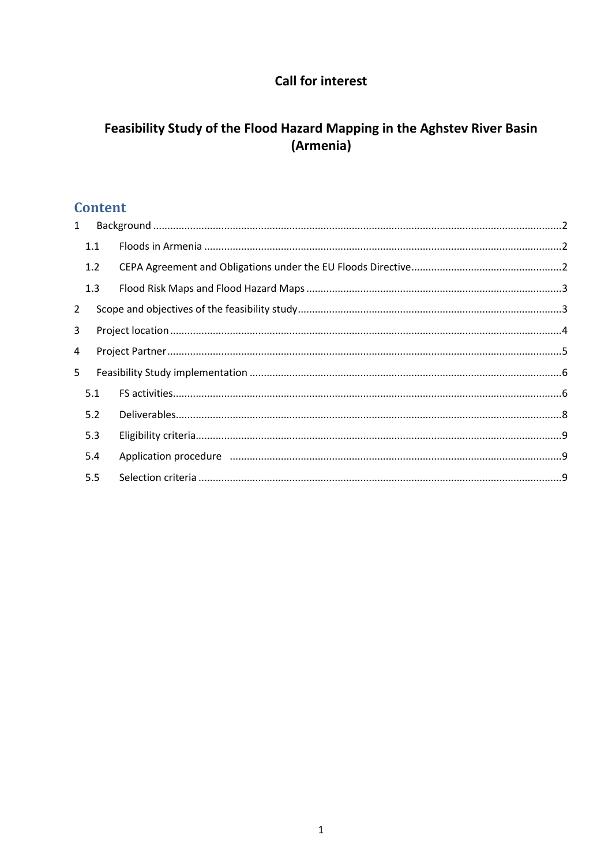## **Call for interest**

# Feasibility Study of the Flood Hazard Mapping in the Aghstev River Basin (Armenia)

## **Content**

| $\mathbf{1}$   |     |  |  |  |
|----------------|-----|--|--|--|
|                | 1.1 |  |  |  |
|                | 1.2 |  |  |  |
|                | 1.3 |  |  |  |
| $\overline{2}$ |     |  |  |  |
| 3              |     |  |  |  |
| 4              |     |  |  |  |
| 5              |     |  |  |  |
|                | 5.1 |  |  |  |
|                | 5.2 |  |  |  |
|                | 5.3 |  |  |  |
|                | 5.4 |  |  |  |
|                | 5.5 |  |  |  |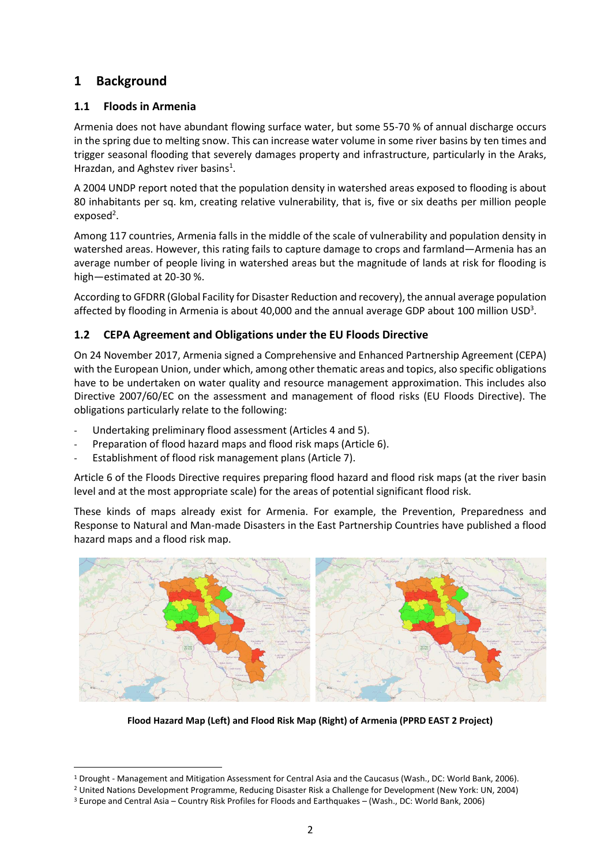## <span id="page-1-0"></span>**1 Background**

## <span id="page-1-1"></span>**1.1 Floods in Armenia**

Armenia does not have abundant flowing surface water, but some 55-70 % of annual discharge occurs in the spring due to melting snow. This can increase water volume in some river basins by ten times and trigger seasonal flooding that severely damages property and infrastructure, particularly in the Araks, Hrazdan, and Aghstev river basins<sup>1</sup>.

A 2004 UNDP report noted that the population density in watershed areas exposed to flooding is about 80 inhabitants per sq. km, creating relative vulnerability, that is, five or six deaths per million people exposed<sup>2</sup>.

Among 117 countries, Armenia falls in the middle of the scale of vulnerability and population density in watershed areas. However, this rating fails to capture damage to crops and farmland—Armenia has an average number of people living in watershed areas but the magnitude of lands at risk for flooding is high—estimated at 20-30 %.

According to GFDRR (Global Facility for Disaster Reduction and recovery), the annual average population affected by flooding in Armenia is about 40,000 and the annual average GDP about 100 million USD<sup>3</sup>.

### <span id="page-1-2"></span>**1.2 CEPA Agreement and Obligations under the EU Floods Directive**

On 24 November 2017, Armenia signed a Comprehensive and Enhanced Partnership Agreement (CEPA) with the European Union, under which, among other thematic areas and topics, also specific obligations have to be undertaken on water quality and resource management approximation. This includes also Directive 2007/60/EC on the assessment and management of flood risks (EU Floods Directive). The obligations particularly relate to the following:

- Undertaking preliminary flood assessment (Articles 4 and 5).
- Preparation of flood hazard maps and flood risk maps (Article 6).
- Establishment of flood risk management plans (Article 7).

Article 6 of the Floods Directive requires preparing flood hazard and flood risk maps (at the river basin level and at the most appropriate scale) for the areas of potential significant flood risk.

These kinds of maps already exist for Armenia. For example, the Prevention, Preparedness and Response to Natural and Man-made Disasters in the East Partnership Countries have published a flood hazard maps and a flood risk map.



**Flood Hazard Map (Left) and Flood Risk Map (Right) of Armenia (PPRD EAST 2 Project)**

<sup>1</sup> Drought - Management and Mitigation Assessment for Central Asia and the Caucasus (Wash., DC: World Bank, 2006).

<sup>2</sup> United Nations Development Programme, Reducing Disaster Risk a Challenge for Development (New York: UN, 2004)

<sup>3</sup> Europe and Central Asia – Country Risk Profiles for Floods and Earthquakes – (Wash., DC: World Bank, 2006)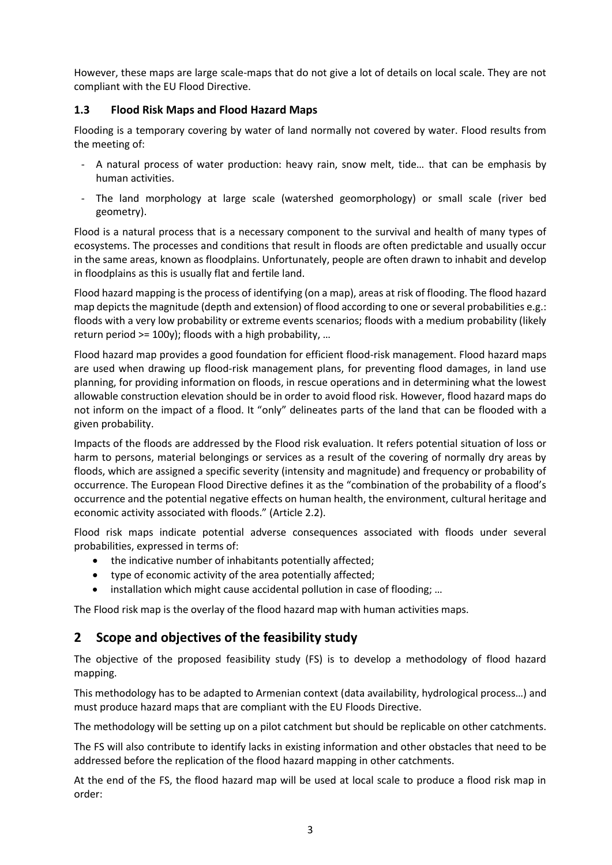However, these maps are large scale-maps that do not give a lot of details on local scale. They are not compliant with the EU Flood Directive.

### <span id="page-2-0"></span>**1.3 Flood Risk Maps and Flood Hazard Maps**

Flooding is a temporary covering by water of land normally not covered by water. Flood results from the meeting of:

- A natural process of water production: heavy rain, snow melt, tide… that can be emphasis by human activities.
- The land morphology at large scale (watershed geomorphology) or small scale (river bed geometry).

Flood is a natural process that is a necessary component to the survival and health of many types of ecosystems. The processes and conditions that result in floods are often predictable and usually occur in the same areas, known as floodplains. Unfortunately, people are often drawn to inhabit and develop in floodplains as this is usually flat and fertile land.

Flood hazard mapping is the process of identifying (on a map), areas at risk of flooding. The flood hazard map depicts the magnitude (depth and extension) of flood according to one or several probabilities e.g.: floods with a very low probability or extreme events scenarios; floods with a medium probability (likely return period >= 100y); floods with a high probability, …

Flood hazard map provides a good foundation for efficient flood-risk management. Flood hazard maps are used when drawing up flood-risk management plans, for preventing flood damages, in land use planning, for providing information on floods, in rescue operations and in determining what the lowest allowable construction elevation should be in order to avoid flood risk. However, flood hazard maps do not inform on the impact of a flood. It "only" delineates parts of the land that can be flooded with a given probability.

Impacts of the floods are addressed by the Flood risk evaluation. It refers potential situation of loss or harm to persons, material belongings or services as a result of the covering of normally dry areas by floods, which are assigned a specific severity (intensity and magnitude) and frequency or probability of occurrence. The European Flood Directive defines it as the "combination of the probability of a flood's occurrence and the potential negative effects on human health, the environment, cultural heritage and economic activity associated with floods." (Article 2.2).

Flood risk maps indicate potential adverse consequences associated with floods under several probabilities, expressed in terms of:

- the indicative number of inhabitants potentially affected;
- type of economic activity of the area potentially affected;
- installation which might cause accidental pollution in case of flooding; …

The Flood risk map is the overlay of the flood hazard map with human activities maps.

## <span id="page-2-1"></span>**2 Scope and objectives of the feasibility study**

The objective of the proposed feasibility study (FS) is to develop a methodology of flood hazard mapping.

This methodology has to be adapted to Armenian context (data availability, hydrological process…) and must produce hazard maps that are compliant with the EU Floods Directive.

The methodology will be setting up on a pilot catchment but should be replicable on other catchments.

The FS will also contribute to identify lacks in existing information and other obstacles that need to be addressed before the replication of the flood hazard mapping in other catchments.

At the end of the FS, the flood hazard map will be used at local scale to produce a flood risk map in order: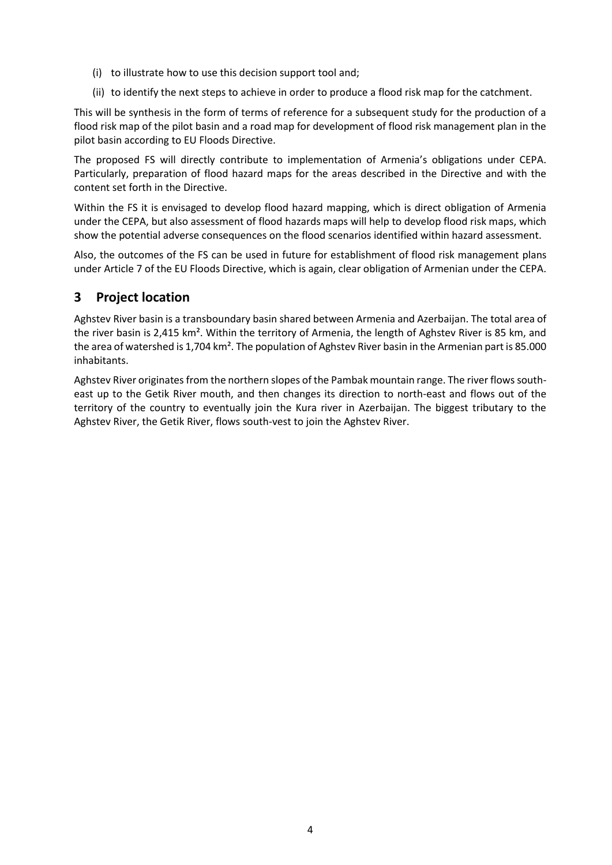- (i) to illustrate how to use this decision support tool and;
- (ii) to identify the next steps to achieve in order to produce a flood risk map for the catchment.

This will be synthesis in the form of terms of reference for a subsequent study for the production of a flood risk map of the pilot basin and a road map for development of flood risk management plan in the pilot basin according to EU Floods Directive.

The proposed FS will directly contribute to implementation of Armenia's obligations under CEPA. Particularly, preparation of flood hazard maps for the areas described in the Directive and with the content set forth in the Directive.

Within the FS it is envisaged to develop flood hazard mapping, which is direct obligation of Armenia under the CEPA, but also assessment of flood hazards maps will help to develop flood risk maps, which show the potential adverse consequences on the flood scenarios identified within hazard assessment.

Also, the outcomes of the FS can be used in future for establishment of flood risk management plans under Article 7 of the EU Floods Directive, which is again, clear obligation of Armenian under the CEPA.

## <span id="page-3-0"></span>**3 Project location**

Aghstev River basin is a transboundary basin shared between Armenia and Azerbaijan. The total area of the river basin is 2,415 km². Within the territory of Armenia, the length of Aghstev River is 85 km, and the area of watershed is 1,704 km². The population of Aghstev River basin in the Armenian part is 85.000 inhabitants.

Aghstev River originates from the northern slopes of the Pambak mountain range. The river flows southeast up to the Getik River mouth, and then changes its direction to north-east and flows out of the territory of the country to eventually join the Kura river in Azerbaijan. The biggest tributary to the Aghstev River, the Getik River, flows south-vest to join the Aghstev River.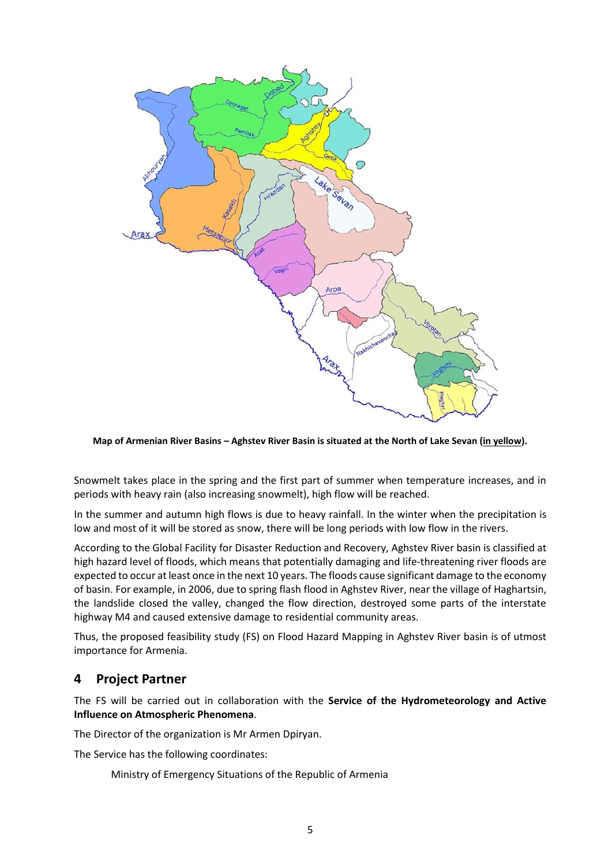

**Map of Armenian River Basins – Aghstev River Basin is situated at the North of Lake Sevan (in yellow).**

Snowmelt takes place in the spring and the first part of summer when temperature increases, and in periods with heavy rain (also increasing snowmelt), high flow will be reached.

In the summer and autumn high flows is due to heavy rainfall. In the winter when the precipitation is low and most of it will be stored as snow, there will be long periods with low flow in the rivers.

According to the Global Facility for Disaster Reduction and Recovery, Aghstev River basin is classified at high hazard level of floods, which means that potentially damaging and life-threatening river floods are expected to occur at least once in the next 10 years. The floods cause significant damage to the economy of basin. For example, in 2006, due to spring flash flood in Aghstev River, near the village of Haghartsin, the landslide closed the valley, changed the flow direction, destroyed some parts of the interstate highway M4 and caused extensive damage to residential community areas.

Thus, the proposed feasibility study (FS) on Flood Hazard Mapping in Aghstev River basin is of utmost importance for Armenia.

## <span id="page-4-0"></span>**4 Project Partner**

The FS will be carried out in collaboration with the **Service of the Hydrometeorology and Active Influence on Atmospheric Phenomena**.

The Director of the organization is Mr Armen Dpiryan.

The Service has the following coordinates:

Ministry of Emergency Situations of the Republic of Armenia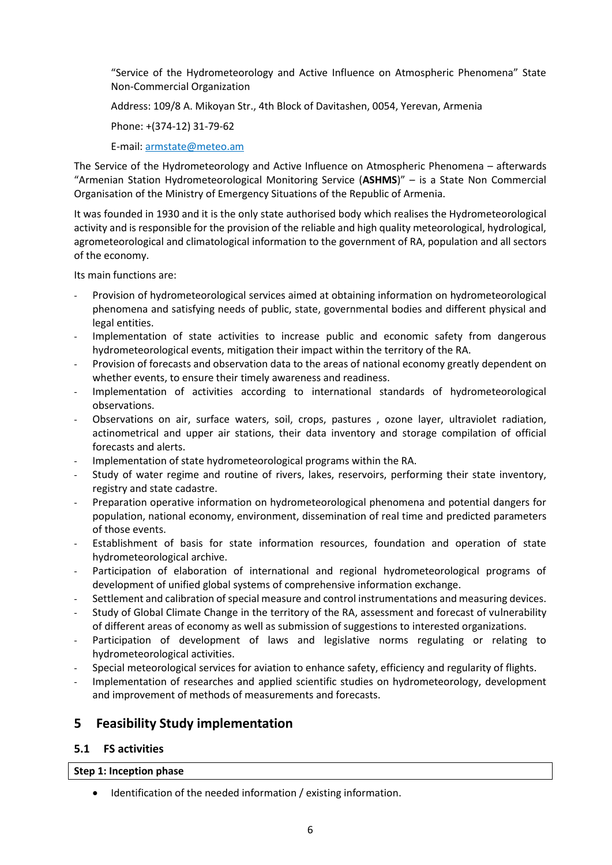"Service of the Hydrometeorology and Active Influence on Atmospheric Phenomena" State Non-Commercial Organization

Address: 109/8 A. Mikoyan Str., 4th Block of Davitashen, 0054, Yerevan, Armenia

Phone: +(374-12) 31-79-62

E-mail: [armstate@meteo.am](mailto:armstate@meteo.am)

The Service of the Hydrometeorology and Active Influence on Atmospheric Phenomena – afterwards "Armenian Station Hydrometeorological Monitoring Service (**ASHMS**)" – is a State Non Commercial Organisation of the Ministry of Emergency Situations of the Republic of Armenia.

It was founded in 1930 and it is the only state authorised body which realises the Hydrometeorological activity and is responsible for the provision of the reliable and high quality meteorological, hydrological, agrometeorological and climatological information to the government of RA, population and all sectors of the economy.

Its main functions are:

- Provision of hydrometeorological services aimed at obtaining information on hydrometeorological phenomena and satisfying needs of public, state, governmental bodies and different physical and legal entities.
- Implementation of state activities to increase public and economic safety from dangerous hydrometeorological events, mitigation their impact within the territory of the RA.
- Provision of forecasts and observation data to the areas of national economy greatly dependent on whether events, to ensure their timely awareness and readiness.
- Implementation of activities according to international standards of hydrometeorological observations.
- Observations on air, surface waters, soil, crops, pastures, ozone layer, ultraviolet radiation, actinometrical and upper air stations, their data inventory and storage compilation of official forecasts and alerts.
- Implementation of state hydrometeorological programs within the RA.
- Study of water regime and routine of rivers, lakes, reservoirs, performing their state inventory, registry and state cadastre.
- Preparation operative information on hydrometeorological phenomena and potential dangers for population, national economy, environment, dissemination of real time and predicted parameters of those events.
- Establishment of basis for state information resources, foundation and operation of state hydrometeorological archive.
- Participation of elaboration of international and regional hydrometeorological programs of development of unified global systems of comprehensive information exchange.
- Settlement and calibration of special measure and control instrumentations and measuring devices.
- Study of Global Climate Change in the territory of the RA, assessment and forecast of vulnerability of different areas of economy as well as submission of suggestions to interested organizations.
- Participation of development of laws and legislative norms regulating or relating to hydrometeorological activities.
- Special meteorological services for aviation to enhance safety, efficiency and regularity of flights.
- Implementation of researches and applied scientific studies on hydrometeorology, development and improvement of methods of measurements and forecasts.

## <span id="page-5-0"></span>**5 Feasibility Study implementation**

### <span id="page-5-1"></span>**5.1 FS activities**

#### **Step 1: Inception phase**

Identification of the needed information / existing information.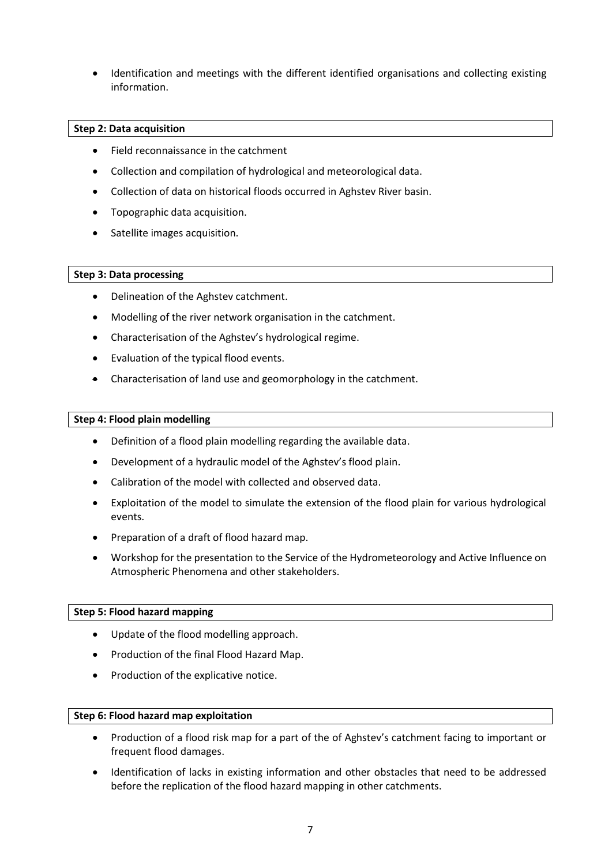• Identification and meetings with the different identified organisations and collecting existing information.

#### **Step 2: Data acquisition**

- Field reconnaissance in the catchment
- Collection and compilation of hydrological and meteorological data.
- Collection of data on historical floods occurred in Aghstev River basin.
- Topographic data acquisition.
- Satellite images acquisition.

#### **Step 3: Data processing**

- Delineation of the Aghstev catchment.
- Modelling of the river network organisation in the catchment.
- Characterisation of the Aghstev's hydrological regime.
- Evaluation of the typical flood events.
- Characterisation of land use and geomorphology in the catchment.

#### **Step 4: Flood plain modelling**

- Definition of a flood plain modelling regarding the available data.
- Development of a hydraulic model of the Aghstev's flood plain.
- Calibration of the model with collected and observed data.
- Exploitation of the model to simulate the extension of the flood plain for various hydrological events.
- Preparation of a draft of flood hazard map.
- Workshop for the presentation to the Service of the Hydrometeorology and Active Influence on Atmospheric Phenomena and other stakeholders.

#### **Step 5: Flood hazard mapping**

- Update of the flood modelling approach.
- Production of the final Flood Hazard Map.
- Production of the explicative notice.

#### **Step 6: Flood hazard map exploitation**

- Production of a flood risk map for a part of the of Aghstev's catchment facing to important or frequent flood damages.
- Identification of lacks in existing information and other obstacles that need to be addressed before the replication of the flood hazard mapping in other catchments.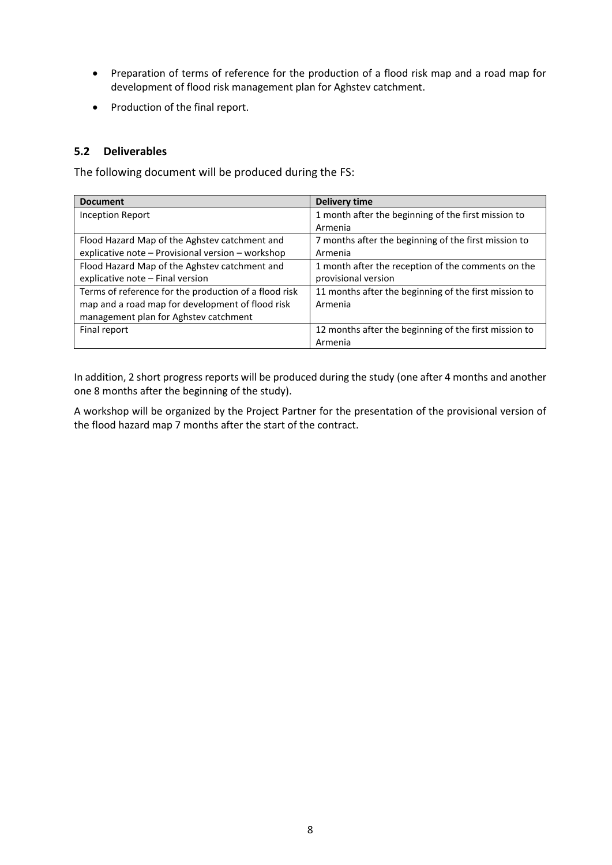- Preparation of terms of reference for the production of a flood risk map and a road map for development of flood risk management plan for Aghstev catchment.
- Production of the final report.

### <span id="page-7-0"></span>**5.2 Deliverables**

The following document will be produced during the FS:

| <b>Document</b>                                       | <b>Delivery time</b>                                  |
|-------------------------------------------------------|-------------------------------------------------------|
| Inception Report                                      | 1 month after the beginning of the first mission to   |
|                                                       | Armenia                                               |
| Flood Hazard Map of the Aghstev catchment and         | 7 months after the beginning of the first mission to  |
| explicative note - Provisional version - workshop     | Armenia                                               |
| Flood Hazard Map of the Aghstev catchment and         | 1 month after the reception of the comments on the    |
| explicative note - Final version                      | provisional version                                   |
| Terms of reference for the production of a flood risk | 11 months after the beginning of the first mission to |
| map and a road map for development of flood risk      | Armenia                                               |
| management plan for Aghstev catchment                 |                                                       |
| Final report                                          | 12 months after the beginning of the first mission to |
|                                                       | Armenia                                               |

In addition, 2 short progress reports will be produced during the study (one after 4 months and another one 8 months after the beginning of the study).

A workshop will be organized by the Project Partner for the presentation of the provisional version of the flood hazard map 7 months after the start of the contract.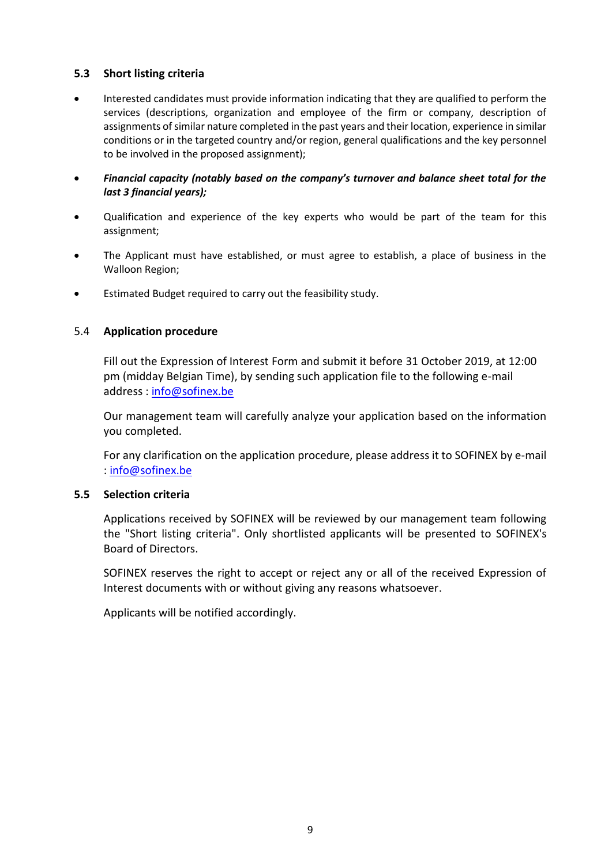## <span id="page-8-0"></span>**5.3 Short listing criteria**

- Interested candidates must provide information indicating that they are qualified to perform the services (descriptions, organization and employee of the firm or company, description of assignments of similar nature completed in the past years and their location, experience in similar conditions or in the targeted country and/or region, general qualifications and the key personnel to be involved in the proposed assignment);
- *Financial capacity (notably based on the company's turnover and balance sheet total for the last 3 financial years);*
- Qualification and experience of the key experts who would be part of the team for this assignment;
- The Applicant must have established, or must agree to establish, a place of business in the Walloon Region;
- Estimated Budget required to carry out the feasibility study.

### <span id="page-8-1"></span>5.4 **Application procedure**

Fill out the Expression of Interest Form and submit it before 31 October 2019, at 12:00 pm (midday Belgian Time), by sending such application file to the following e-mail address : [info@sofinex.be](mailto:info@sofinex.be)

Our management team will carefully analyze your application based on the information you completed.

For any clarification on the application procedure, please address it to SOFINEX by e-mail : [info@sofinex.be](mailto:info@sofinex.be)

#### <span id="page-8-2"></span>**5.5 Selection criteria**

Applications received by SOFINEX will be reviewed by our management team following the "Short listing criteria". Only shortlisted applicants will be presented to SOFINEX's Board of Directors.

SOFINEX reserves the right to accept or reject any or all of the received Expression of Interest documents with or without giving any reasons whatsoever.

Applicants will be notified accordingly.